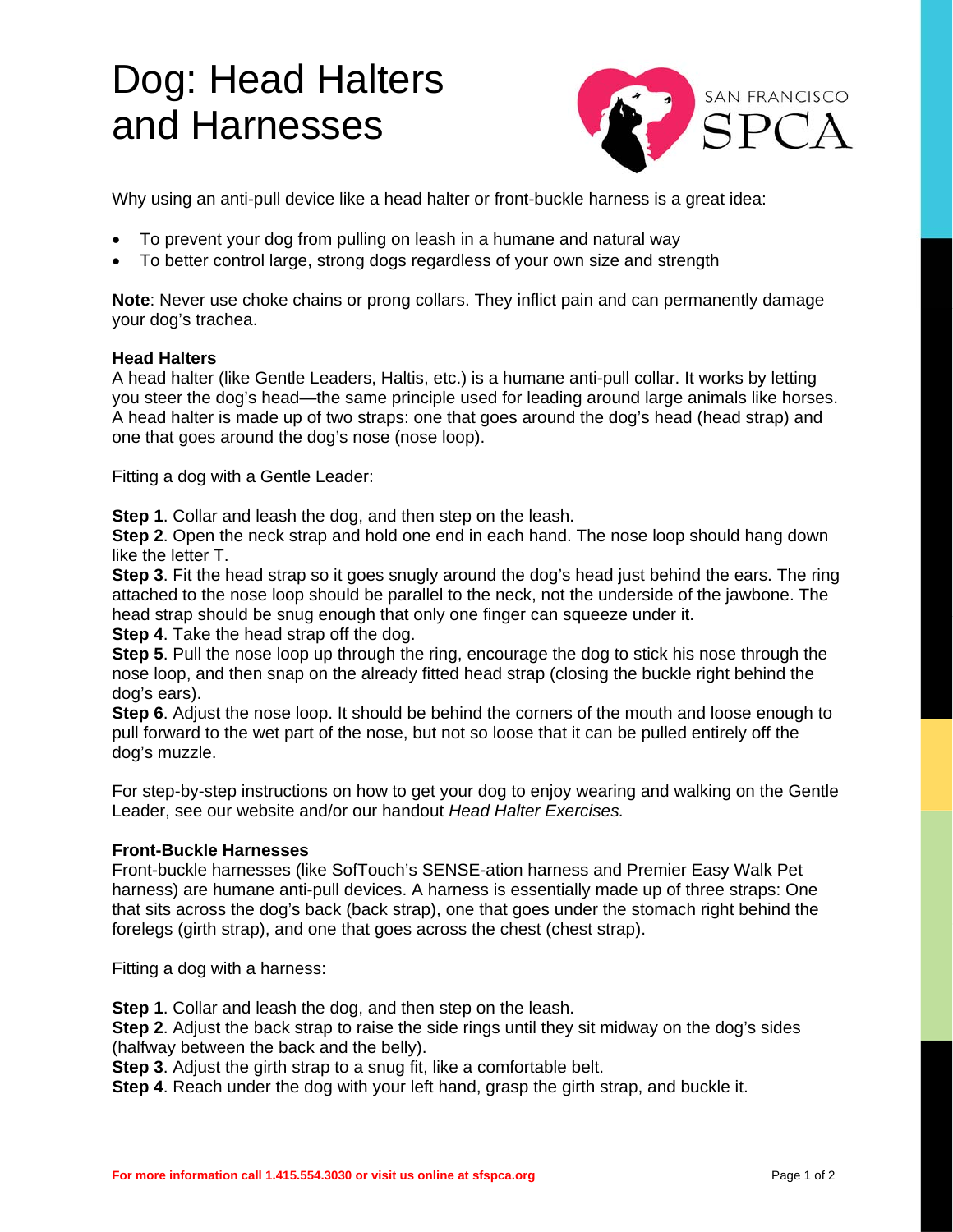## Dog: Head Halters and Harnesses



Why using an anti-pull device like a head halter or front-buckle harness is a great idea:

- To prevent your dog from pulling on leash in a humane and natural way
- To better control large, strong dogs regardless of your own size and strength

**Note**: Never use choke chains or prong collars. They inflict pain and can permanently damage your dog's trachea.

## **Head Halters**

A head halter (like Gentle Leaders, Haltis, etc.) is a humane anti-pull collar. It works by letting you steer the dog's head—the same principle used for leading around large animals like horses. A head halter is made up of two straps: one that goes around the dog's head (head strap) and one that goes around the dog's nose (nose loop).

Fitting a dog with a Gentle Leader:

**Step 1**. Collar and leash the dog, and then step on the leash.

**Step 2**. Open the neck strap and hold one end in each hand. The nose loop should hang down like the letter T.

**Step 3**. Fit the head strap so it goes snugly around the dog's head just behind the ears. The ring attached to the nose loop should be parallel to the neck, not the underside of the jawbone. The head strap should be snug enough that only one finger can squeeze under it.

**Step 4**. Take the head strap off the dog.

**Step 5**. Pull the nose loop up through the ring, encourage the dog to stick his nose through the nose loop, and then snap on the already fitted head strap (closing the buckle right behind the dog's ears).

**Step 6**. Adjust the nose loop. It should be behind the corners of the mouth and loose enough to pull forward to the wet part of the nose, but not so loose that it can be pulled entirely off the dog's muzzle.

For step-by-step instructions on how to get your dog to enjoy wearing and walking on the Gentle Leader, see our website and/or our handout *Head Halter Exercises.*

## **Front-Buckle Harnesses**

Front-buckle harnesses (like SofTouch's SENSE-ation harness and Premier Easy Walk Pet harness) are humane anti-pull devices. A harness is essentially made up of three straps: One that sits across the dog's back (back strap), one that goes under the stomach right behind the forelegs (girth strap), and one that goes across the chest (chest strap).

Fitting a dog with a harness:

**Step 1**. Collar and leash the dog, and then step on the leash.

**Step 2**. Adjust the back strap to raise the side rings until they sit midway on the dog's sides (halfway between the back and the belly).

**Step 3**. Adjust the girth strap to a snug fit, like a comfortable belt.

**Step 4**. Reach under the dog with your left hand, grasp the girth strap, and buckle it.